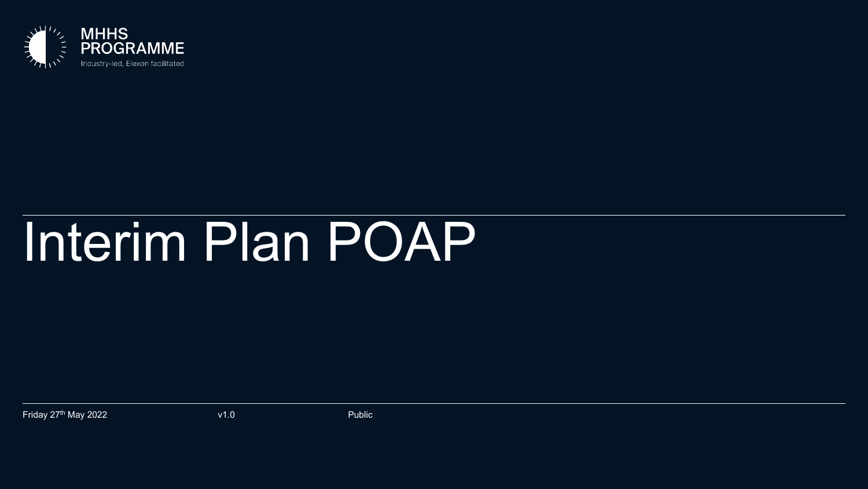

## Interim Plan POAP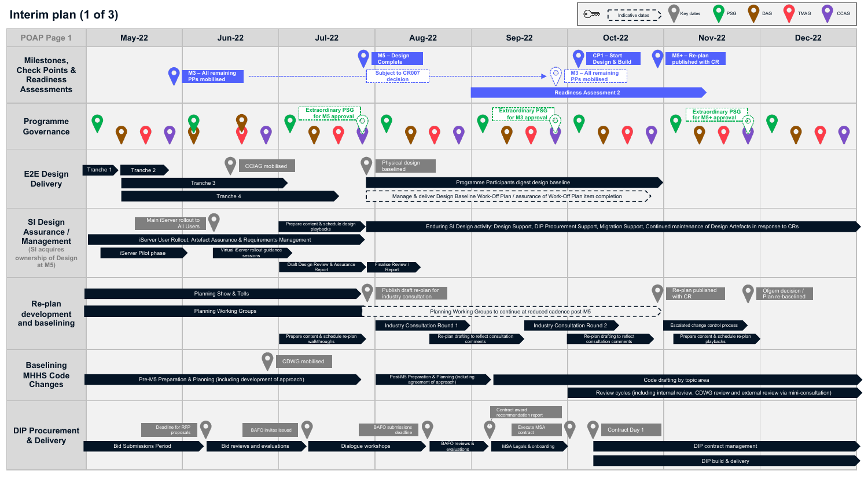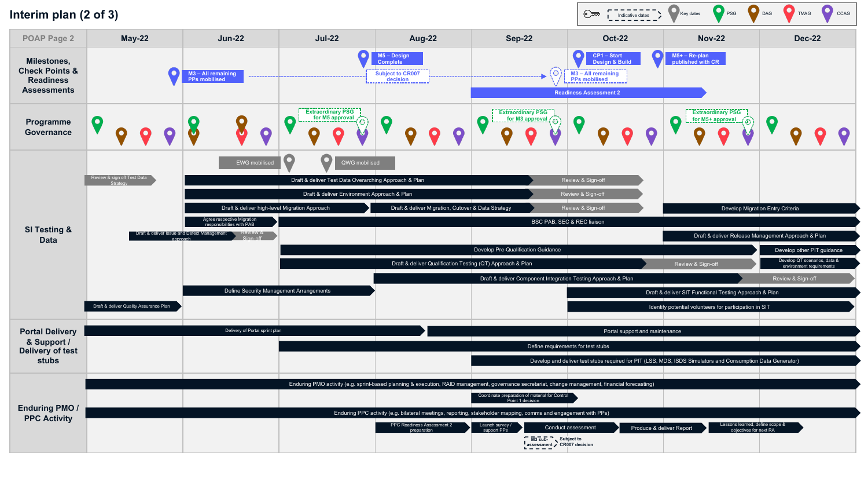